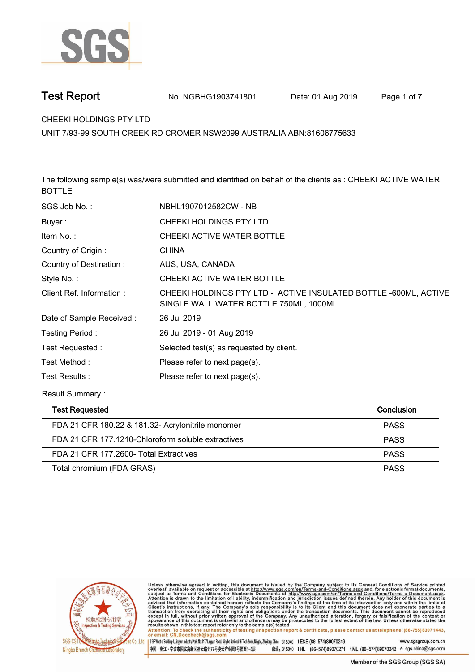

**Test Report No. NGBHG1903741801** Date: 01 Aug 2019 Page 1 of 7

**CHEEKI HOLDINGS PTY LTD.**

**UNIT 7/93-99 SOUTH CREEK RD CROMER NSW2099 AUSTRALIA ABN:81606775633**

**The following sample(s) was/were submitted and identified on behalf of the clients as : CHEEKI ACTIVE WATER BOTTLE.**

| NBHL1907012582CW - NB                                                                                      |
|------------------------------------------------------------------------------------------------------------|
| CHEEKI HOLDINGS PTY LTD                                                                                    |
| CHEEKI ACTIVE WATER BOTTLE                                                                                 |
| <b>CHINA</b>                                                                                               |
| AUS, USA, CANADA                                                                                           |
| CHEEKI ACTIVE WATER BOTTLE                                                                                 |
| CHEEKI HOLDINGS PTY LTD - ACTIVE INSULATED BOTTLE -600ML, ACTIVE<br>SINGLE WALL WATER BOTTLE 750ML, 1000ML |
| 26 Jul 2019                                                                                                |
| 26 Jul 2019 - 01 Aug 2019                                                                                  |
| Selected test(s) as requested by client.                                                                   |
| Please refer to next page(s).                                                                              |
| Please refer to next page(s).                                                                              |
|                                                                                                            |

**Result Summary :.**

| Test Requested                                     | Conclusion  |
|----------------------------------------------------|-------------|
| FDA 21 CFR 180.22 & 181.32- Acrylonitrile monomer  | <b>PASS</b> |
| FDA 21 CFR 177.1210-Chloroform soluble extractives | <b>PASS</b> |
| FDA 21 CFR 177.2600- Total Extractives             | <b>PASS</b> |
| Total chromium (FDA GRAS)                          | <b>PASS</b> |



Unless otherwise agreed in writing, this document is issued by the Company subject to its General Conditions of Service printed<br>overleaf, available on request or accessible at http://www.sgs.com/en/Terms-and-Conditions.asp

Attention: To check the authenticity of testing linspection report & certificate, please contact us at telephone: (86-755) 8307 1443, or email: CN.Doccheck@sgs.com 15F West of Building 4, Lingyun Industry Park, No.1177 Lingyun Road, Ningbo National Hi-Tech Zone, Ningbo, Zhejiang, China 315040 t E&E (86-574)89070249 www.sasaroup.com.cn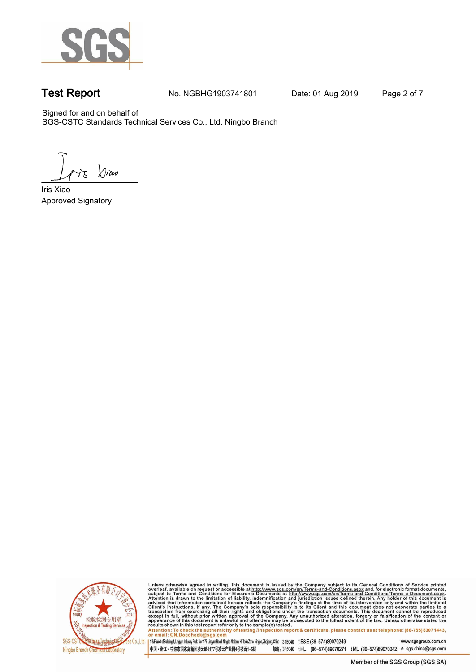

**Test Report. No. NGBHG1903741801 Date: 01 Aug 2019. Page 2 of 7.**

Signed for and on behalf of SGS-CSTC Standards Technical Services Co., Ltd. Ningbo Branch.

 $\chi_{\nu}$ ao

**Approved Signatory . . . Iris Xiao.**



Unless otherwise agreed in writing, this document is issued by the Company subject to its General Conditions of Service printed overleaf, available on request or accessible at http://www.sgs.com/en/Terms-and-Conditions.as

145F West of Building 4, Lingun Industry Park, No. 1177 Lingyun Road, Ningbo National Hi-Tech Zone, Ningbo, Zhejiang, China 315040 t E&E (86-574)89070249 www.sgsgroup.com.cn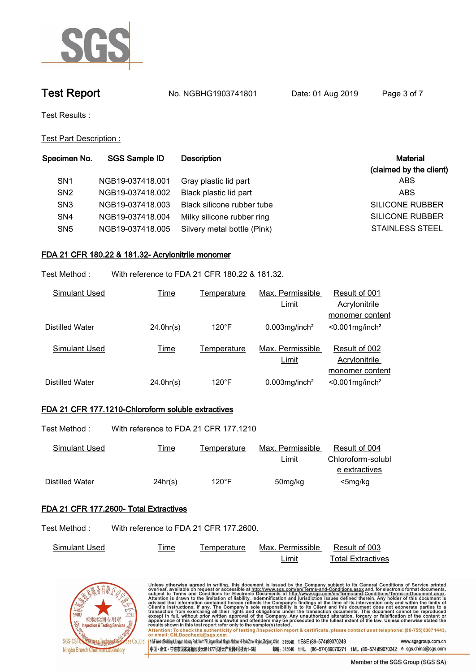

**Test Report. No. NGBHG1903741801 Date: 01 Aug 2019. Page 3 of 7.**

**Test Results :.**

**Test Part Description :.**

| Specimen No.    | <b>SGS Sample ID</b> | <b>Description</b>          | <b>Material</b>         |
|-----------------|----------------------|-----------------------------|-------------------------|
|                 |                      |                             | (claimed by the client) |
| SN <sub>1</sub> | NGB19-037418.001     | Gray plastic lid part       | ABS                     |
| SN <sub>2</sub> | NGB19-037418.002     | Black plastic lid part      | <b>ABS</b>              |
| SN <sub>3</sub> | NGB19-037418.003     | Black silicone rubber tube  | SILICONE RUBBER         |
| SN <sub>4</sub> | NGB19-037418.004     | Milky silicone rubber ring  | SILICONE RUBBER         |
| SN <sub>5</sub> | NGB19-037418.005     | Silvery metal bottle (Pink) | <b>STAINLESS STEEL</b>  |
|                 |                      |                             |                         |

# **FDA 21 CFR 180.22 & 181.32- Acrylonitrile monomer.**

**Test Method :. With reference to FDA 21 CFR 180.22 & 181.32..**

| Simulant Used   | <u>Time</u> | Temperature     | Max. Permissible             | Result of 001                  |
|-----------------|-------------|-----------------|------------------------------|--------------------------------|
|                 |             |                 | Limit                        | Acrylonitrile                  |
|                 |             |                 |                              | monomer content                |
| Distilled Water | 24.0hr(s)   | $120^{\circ}$ F | $0.003$ mg/inch <sup>2</sup> | $< 0.001$ mg/inch <sup>2</sup> |
|                 |             |                 |                              |                                |
| Simulant Used   | <u>Time</u> | Temperature     | Max. Permissible             | Result of 002                  |
|                 |             |                 | Limit                        | Acrylonitrile                  |
|                 |             |                 |                              | monomer content                |
| Distilled Water | 24.0hr(s)   | $120^{\circ}$ F | $0.003$ mg/inch <sup>2</sup> | $< 0.001$ mg/inch <sup>2</sup> |

# **FDA 21 CFR 177.1210-Chloroform soluble extractives.**

| Test Method : | With reference to FDA 21 CFR 177.1210 |             |                  |                   |
|---------------|---------------------------------------|-------------|------------------|-------------------|
| Simulant Used | <u>l ime</u>                          | Temperature | Max. Permissible | Result of 004     |
|               |                                       |             | Limit            | Chloroform-solubl |
|               |                                       |             |                  | e extractives     |

**Distilled Water.. 24hr(s).. 120°F.. 50mg/kg. <5mg/kg.. .**

### **FDA 21 CFR 177.2600- Total Extractives.**

**Test Method :. With reference to FDA 21 CFR 177.2600..**

| Simulant Used | ime | l emperature | Max. Permissible | Result of 003     |
|---------------|-----|--------------|------------------|-------------------|
|               |     |              | ∟imi'            | Total Extractives |



| Unless otherwise agreed in writing, this document is issued by the Company subject to its General Conditions of Service printed<br>overleaf, available on request or accessible at http://www.sqs.com/en/Terms-and-Conditions.aspx and, for electronic format documents,<br>subject to Terms and Conditions for Electronic Documents at http://www.sgs.com/en/Terms-and-Conditions/Terms-e-Document.aspx.<br>Attention is drawn to the limitation of liability, indemnification and jurisdiction issues defined therein. Any holder of this document is<br>advised that information contained hereon reflects the Company's findings at the time of its intervention only and within the limits of<br>Client's instructions, if any. The Company's sole responsibility is to its Client and this document does not exonerate parties to a<br>transaction from exercising all their rights and obligations under the transaction documents. This document cannot be reproduced<br>except in full, without prior written approval of the Company. Any unauthorized alteration, forgery or falsification of the content or<br>appearance of this document is unlawful and offenders may be prosecuted to the fullest extent of the law. Unless otherwise stated the<br>results shown in this test report refer only to the sample(s) tested.<br>Attention: To check the authenticity of testing /inspection report & certificate, please contact us at telephone: (86-755) 8307 1443,<br>or email: CN.Doccheck@sgs.com |                     |
|---------------------------------------------------------------------------------------------------------------------------------------------------------------------------------------------------------------------------------------------------------------------------------------------------------------------------------------------------------------------------------------------------------------------------------------------------------------------------------------------------------------------------------------------------------------------------------------------------------------------------------------------------------------------------------------------------------------------------------------------------------------------------------------------------------------------------------------------------------------------------------------------------------------------------------------------------------------------------------------------------------------------------------------------------------------------------------------------------------------------------------------------------------------------------------------------------------------------------------------------------------------------------------------------------------------------------------------------------------------------------------------------------------------------------------------------------------------------------------------------------------------------|---------------------|
| Co., Ltd.   1:5F West of Building 4, Lingyun Industry Park, No.1177 Lingyun Road, Ningbo Aafonal Hi-Tech Zone, Ningbo, Zheijang, China 315040 t E&E (86—574)89070249                                                                                                                                                                                                                                                                                                                                                                                                                                                                                                                                                                                                                                                                                                                                                                                                                                                                                                                                                                                                                                                                                                                                                                                                                                                                                                                                                | www.sgsgroup.com.cn |
| tML (86-574)89070242 e sgs.china@sgs.com<br>中国・浙江・宁波市国家高新区凌云路1177号凌云产业园4号楼西1-5层<br>(86-574)89070271<br>邮编: 315040 tHL                                                                                                                                                                                                                                                                                                                                                                                                                                                                                                                                                                                                                                                                                                                                                                                                                                                                                                                                                                                                                                                                                                                                                                                                                                                                                                                                                                                               |                     |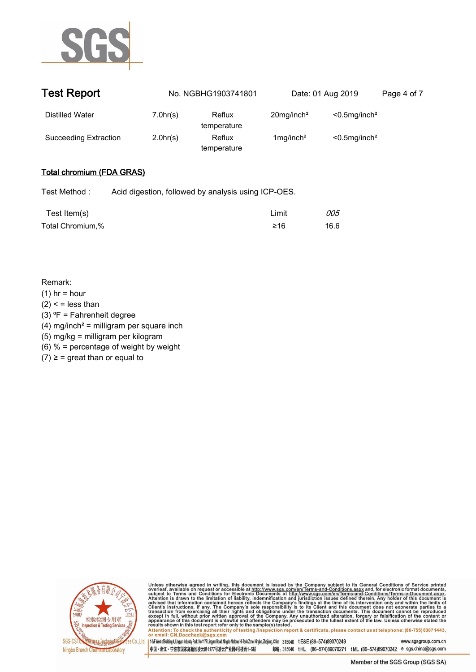

| <b>Test Report</b>    |          | No. NGBHG1903741801   | Date: 01 Aug 2019         |                              | Page 4 of 7 |
|-----------------------|----------|-----------------------|---------------------------|------------------------------|-------------|
| Distilled Water       | 7.0hr(s) | Reflux<br>temperature | $20$ mg/inch <sup>2</sup> | $< 0.5$ mg/inch <sup>2</sup> |             |
| Succeeding Extraction | 2.0hr(s) | Reflux<br>temperature | $1$ mg/inch <sup>2</sup>  | $< 0.5$ mg/inch <sup>2</sup> |             |

# **Total chromium (FDA GRAS).**

| <u>Test Item(s)</u> | <b>Limit</b> | <u>005</u> |
|---------------------|--------------|------------|
| Total Chromium,%    | ≥16          | 16.6       |

### **Remark:**

- **(1) hr = hour**
- **(2) < = less than**
- **(3) ⁰F = Fahrenheit degree**
- **(4) mg/inch² = milligram per square inch**
- **(5) mg/kg = milligram per kilogram**
- **(6) % = percentage of weight by weight**
- $(7) \geq 7$  great than or equal to.



Unless otherwise agreed in writing, this document is issued by the Company subject to its General Conditions of Service printed<br>overleaf, available on request or accessible at http://www.sgs.com/en/Terms-and-Conditions.asp

Attention: To check the authenticity of testing linspection report & certificate, please contact us at telephone: (86-755) 8307 1443, or email: CN.Doccheck@sgs.com 145F West of Building 4, Lingyun Industry Park, No. 1177 Lingyun Road, Ningbo National Hi-Tech Zone, Ningbo, Zhejiang, China 315040 t E&E (86-574)89070249 www.sgsgroup.com.cn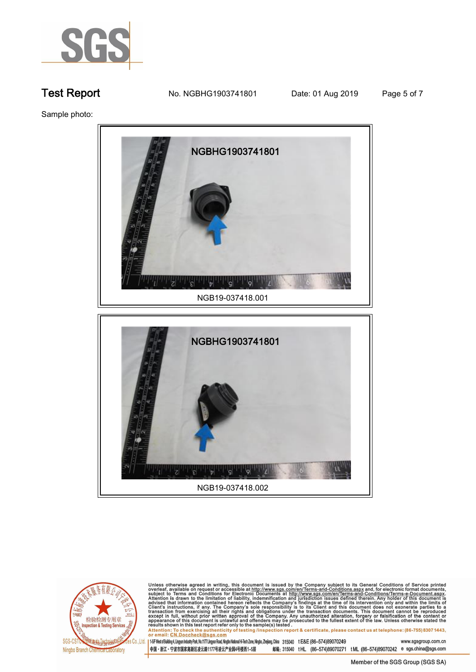

**Test Report. No. NGBHG1903741801 Date: 01 Aug 2019. Page 5 of 7.**

**Sample photo:.**



**NGB19-037418.002.**



Unless otherwise agreed in writing, this document is issued by the Company subject to its General Conditions of Service printed<br>overleaf, available on request or accessible at <u>http://www.sgs.com/en/Terms-and-Conditions.a</u>

145F West of Building 4, Lingun Industry Park, No. 1177 Lingyun Road, Ningbo National Hi-Tech Zone, Ningbo, Zhejiang, China 315040 t E&E (86-574)89070249 www.sgsgroup.com.cn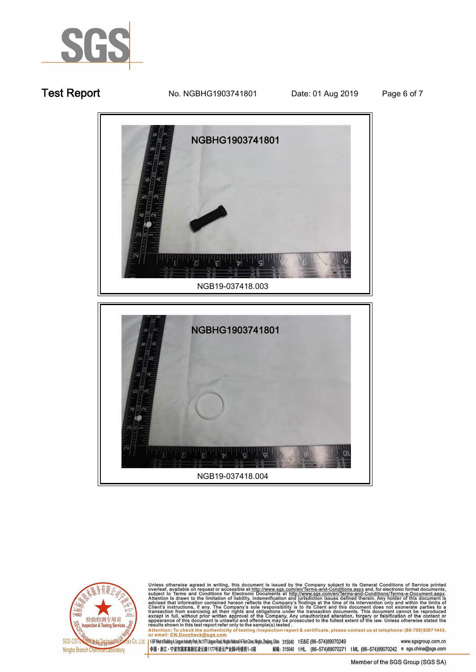

**Test Report No. NGBHG1903741801** Date: 01 Aug 2019 Page 6 of 7



检验检测专用章<br>nspection & Testing Services **PRO ZEAL LEGINIANO SGS**  $Co$   $Id$ Ningbo Branch Chemica Laporatory

Unless otherwise agreed in writing, this document is issued by the Company subject to its General Conditions of Service printed overleaf, available on request or accessible at http://www.sgs.com/en/Terms-and-Conditions.as

145F West of Building 4, Lingun Industry Park, No. 1177 Lingyun Road, Ningbo National Hi-Tech Zone, Ningbo, Zhejiang, China 315040 t E&E (86-574)89070249 www.sgsgroup.com.cn